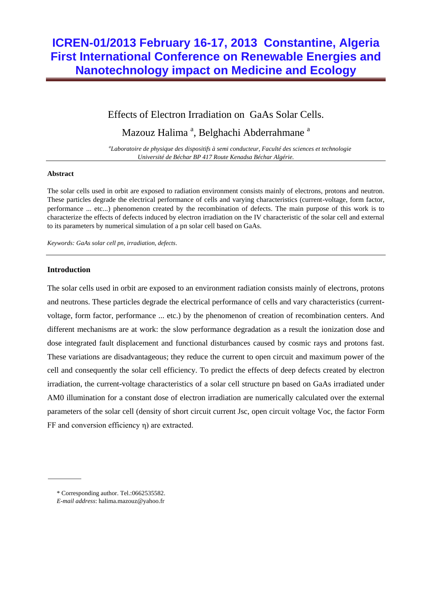# Effects of Electron Irradiation on GaAs Solar Cells.

# Mazouz Halima<sup>a</sup>, Belghachi Abderrahmane<sup>a</sup>

*a Laboratoire de physique des dispositifs à semi conducteur, Faculté des sciences et technologie Université de Béchar BP 417 Route Kenadsa Béchar Algérie.*

## **Abstract**

The solar cells used in orbit are exposed to radiation environment consists mainly of electrons, protons and neutron. These particles degrade the electrical performance of cells and varying characteristics (current-voltage, form factor, performance ... etc...) phenomenon created by the recombination of defects. The main purpose of this work is to characterize the effects of defects induced by electron irradiation on the IV characteristic of the solar cell and external to its parameters by numerical simulation of a pn solar cell based on GaAs.

*Keywords: GaAs solar cell pn, irradiation, defects*.

# **Introduction**

The solar cells used in orbit are exposed to an environment radiation consists mainly of electrons, protons and neutrons. These particles degrade the electrical performance of cells and vary characteristics (currentvoltage, form factor, performance ... etc.) by the phenomenon of creation of recombination centers. And different mechanisms are at work: the slow performance degradation as a result the ionization dose and dose integrated fault displacement and functional disturbances caused by cosmic rays and protons fast. These variations are disadvantageous; they reduce the current to open circuit and maximum power of the cell and consequently the solar cell efficiency. To predict the effects of deep defects created by electron irradiation, the current-voltage characteristics of a solar cell structure pn based on GaAs irradiated under AM0 illumination for a constant dose of electron irradiation are numerically calculated over the external parameters of the solar cell (density of short circuit current Jsc, open circuit voltage Voc, the factor Form FF and conversion efficiency η) are extracted.

<sup>\*</sup> Corresponding author. Tel.:0662535582.

*E-mail address*: halima.mazouz@yahoo.fr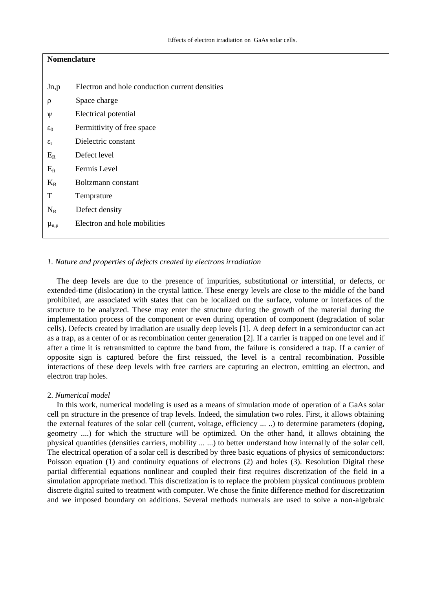| Nomenclature      |                                                |  |  |
|-------------------|------------------------------------------------|--|--|
|                   |                                                |  |  |
| $J_{n,p}$         | Electron and hole conduction current densities |  |  |
| $\rho$            | Space charge                                   |  |  |
| $\Psi$            | Electrical potential                           |  |  |
| $\varepsilon_0$   | Permittivity of free space                     |  |  |
| $\varepsilon_{r}$ | Dielectric constant                            |  |  |
| $E_R$             | Defect level                                   |  |  |
| $E_{fi}$          | Fermis Level                                   |  |  |
| $K_B$             | Boltzmann constant                             |  |  |
| T                 | Temprature                                     |  |  |
| $N_R$             | Defect density                                 |  |  |
| $\mu_{n,p}$       | Electron and hole mobilities                   |  |  |
|                   |                                                |  |  |

### *1. Nature and properties of defects created by electrons irradiation*

The deep levels are due to the presence of impurities, substitutional or interstitial, or defects, or extended-time (dislocation) in the crystal lattice. These energy levels are close to the middle of the band prohibited, are associated with states that can be localized on the surface, volume or interfaces of the structure to be analyzed. These may enter the structure during the growth of the material during the implementation process of the component or even during operation of component (degradation of solar cells). Defects created by irradiation are usually deep levels [1]. A deep defect in a semiconductor can act as a trap, as a center of or as recombination center generation [2]. If a carrier is trapped on one level and if after a time it is retransmitted to capture the band from, the failure is considered a trap. If a carrier of opposite sign is captured before the first reissued, the level is a central recombination. Possible interactions of these deep levels with free carriers are capturing an electron, emitting an electron, and electron trap holes.

#### 2. *Numerical model*

In this work, numerical modeling is used as a means of simulation mode of operation of a GaAs solar cell pn structure in the presence of trap levels. Indeed, the simulation two roles. First, it allows obtaining the external features of the solar cell (current, voltage, efficiency ... ..) to determine parameters (doping, geometry ....) for which the structure will be optimized. On the other hand, it allows obtaining the physical quantities (densities carriers, mobility ... ...) to better understand how internally of the solar cell. The electrical operation of a solar cell is described by three basic equations of physics of semiconductors: Poisson equation (1) and continuity equations of electrons (2) and holes (3). Resolution Digital these partial differential equations nonlinear and coupled their first requires discretization of the field in a simulation appropriate method. This discretization is to replace the problem physical continuous problem discrete digital suited to treatment with computer. We chose the finite difference method for discretization and we imposed boundary on additions. Several methods numerals are used to solve a non-algebraic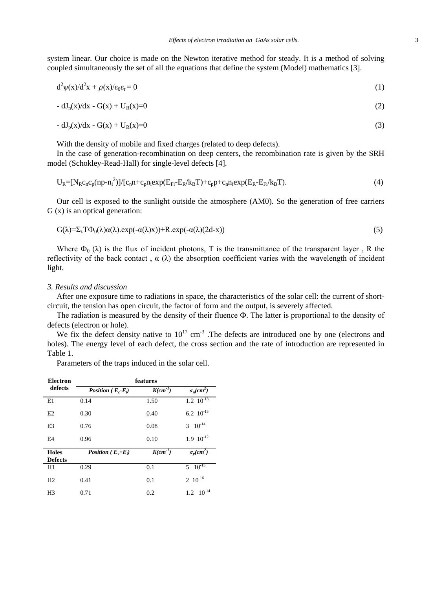system linear. Our choice is made on the Newton iterative method for steady. It is a method of solving coupled simultaneously the set of all the equations that define the system (Model) mathematics [3].

$$
d^2\psi(x)/d^2x + \rho(x)/\varepsilon_0\varepsilon_r = 0\tag{1}
$$

$$
- dJ_n(x)/dx - G(x) + U_R(x)=0
$$
 (2)

$$
- dJ_p(x)/dx - G(x) + U_R(x)=0
$$
\n(3)

With the density of mobile and fixed charges (related to deep defects).

In the case of generation-recombination on deep centers, the recombination rate is given by the SRH model (Schokley-Read-Hall) for single-level defects [4].

$$
U_R = [N_R c_n c_p (np - n_i^2)] / [c_n n + c_p n_i e x p (E_{Fi} - E_R / k_B T) + c_p p + c_n n_i e x p (E_R - E_{Fi} / k_B T). \tag{4}
$$

Our cell is exposed to the sunlight outside the atmosphere (AM0). So the generation of free carriers  $G(x)$  is an optical generation:

$$
G(\lambda) = \sum_{\lambda} T \Phi_0(\lambda) \alpha(\lambda) . \exp(-\alpha(\lambda)x)) + R . \exp(-\alpha(\lambda)(2d-x))
$$
\n<sup>(5)</sup>

Where  $\Phi_0$  ( $\lambda$ ) is the flux of incident photons, T is the transmittance of the transparent layer, R the reflectivity of the back contact,  $\alpha$  ( $\lambda$ ) the absorption coefficient varies with the wavelength of incident light.

#### *3. Results and discussion*

After one exposure time to radiations in space, the characteristics of the solar cell: the current of shortcircuit, the tension has open circuit, the factor of form and the output, is severely affected.

The radiation is measured by the density of their fluence Ф. The latter is proportional to the density of defects (electron or hole).

We fix the defect density native to  $10^{17}$  cm<sup>-3</sup>. The defects are introduced one by one (electrons and holes). The energy level of each defect, the cross section and the rate of introduction are represented in Table 1.

Parameters of the traps induced in the solar cell.

| <b>Electron</b>                | features                   |              |                               |
|--------------------------------|----------------------------|--------------|-------------------------------|
| defects                        | Position ( $E_c$ - $E_t$ ) | $K(cm^{-1})$ | $\sigma_n$ (cm <sup>2</sup> ) |
| E1                             | 0.14                       | 1.50         | $1.2 \overline{10^{-13}}$     |
| E2                             | 0.30                       | 0.40         | 6.2 $\,10^{ \cdot 15}$        |
| E <sub>3</sub>                 | 0.76                       | 0.08         | $10^{-14}$<br>3               |
| E4                             | 0.96                       | 0.10         | $1.9 \ 10^{-12}$              |
| <b>Holes</b><br><b>Defects</b> | Position ( $E_v+E_t$ )     | $K(cm^{-1})$ | $\sigma_p$ (cm <sup>2</sup> ) |
| H1                             | 0.29                       | 0.1          | $10^{-15}$<br>5               |
| H <sub>2</sub>                 | 0.41                       | 0.1          | $2 \ 10^{-16}$                |
| H <sub>3</sub>                 | 0.71                       | 0.2          | $1.2 \quad 10^{-14}$          |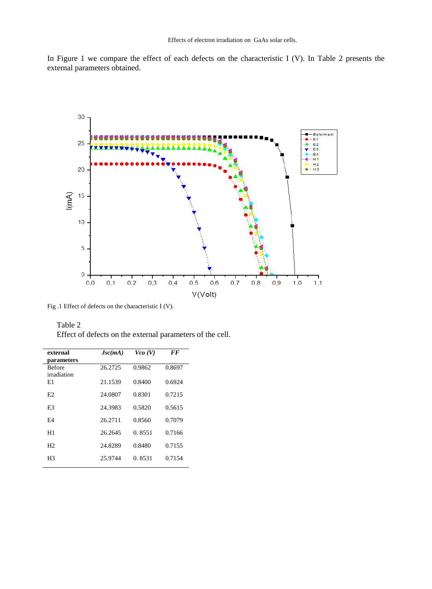In Figure 1 we compare the effect of each defects on the characteristic I (V). In Table 2 presents the external parameters obtained.



Fig .1 Effect of defects on the characteristic I (V).

| Table 2                                                   |  |  |
|-----------------------------------------------------------|--|--|
| Effect of defects on the external parameters of the cell. |  |  |

| external       | Jsc(mA) | Vco (V) | FF     |
|----------------|---------|---------|--------|
| parameters     |         |         |        |
| <b>Before</b>  | 26.2725 | 0.9862  | 0.8697 |
| irradiation    |         |         |        |
| E1             | 21.1539 | 0.8400  | 0.6924 |
| E2             | 24.0807 | 0.8301  | 0.7215 |
|                |         |         |        |
| E3             | 24.3983 | 0.5820  | 0.5615 |
|                |         |         |        |
| F4             | 26.2711 | 0.8560  | 0.7079 |
| H1             | 26.2645 | 0.8551  | 0.7166 |
|                |         |         |        |
| H <sub>2</sub> | 24.8289 | 0.8480  | 0.7155 |
|                |         |         |        |
| H3             | 25.9744 | 0.8531  | 0.7154 |
|                |         |         |        |